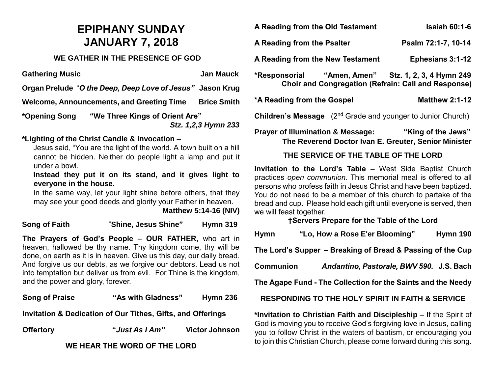## **EPIPHANY SUNDAY JANUARY 7, 2018**

#### **WE GATHER IN THE PRESENCE OF GOD**

**Gathering Music Community Community Community Community Community Community Community Community Community Community Community Community Community Community Community Community Community Community Community Community Commu** 

**Organ Prelude** "*O the Deep, Deep Love of Jesus"* **Jason Krug**

**Welcome, Announcements, and Greeting Time Brice Smith**

**\*Opening Song "We Three Kings of Orient Are"**

 *Stz. 1,2,3 Hymn 233*

### **\*Lighting of the Christ Candle & Invocation –**

Jesus said, "You are the light of the world. A town built on a hill cannot be hidden. Neither do people light a lamp and put it under a bowl.

**Instead they put it on its stand, and it gives light to everyone in the house.** 

In the same way, let your light shine before others, that they may see your good deeds and glorify your Father in heaven.

 **Matthew 5:14-16 (NIV)**

**Song of Faith** "**Shine, Jesus Shine" Hymn 319**

**The Prayers of God's People – OUR FATHER,** who art in heaven, hallowed be thy name. Thy kingdom come, thy will be done, on earth as it is in heaven. Give us this day, our daily bread. And forgive us our debts, as we forgive our debtors. Lead us not into temptation but deliver us from evil. For Thine is the kingdom, and the power and glory, forever.

**Song of Praise "As with Gladness" Hymn 236 Invitation & Dedication of Our Tithes, Gifts, and Offerings**

**Offertory "***Just As I Am"* **Victor Johnson**

#### **WE HEAR THE WORD OF THE LORD**

A Reading from the Old Testament Isaiah 60:1-6 A Reading from the Psalter **Property** Psalm 72:1-7, 10-14 **A Reading from the New Testament Ephesians 3:1-12 \*Responsorial "Amen, Amen" Stz. 1, 2, 3, 4 Hymn 249 Choir and Congregation (Refrain: Call and Response)** \*A Reading from the Gospel Matthew 2:1-12 **Children's Message** (2<sup>nd</sup> Grade and younger to Junior Church)

**Prayer of Illumination & Message: "King of the Jews" The Reverend Doctor Ivan E. Greuter, Senior Minister**

#### **THE SERVICE OF THE TABLE OF THE LORD**

**Invitation to the Lord's Table –** West Side Baptist Church practices *open communion*. This memorial meal is offered to all persons who profess faith in Jesus Christ and have been baptized. You do not need to be a member of this church to partake of the bread and cup. Please hold each gift until everyone is served, then we will feast together.

**†Servers Prepare for the Table of the Lord**

| <b>Hymn</b>                                                  | "Lo, How a Rose E'er Blooming"           | Hymn 190 |
|--------------------------------------------------------------|------------------------------------------|----------|
| The Lord's Supper – Breaking of Bread & Passing of the Cup   |                                          |          |
| <b>Communion</b>                                             | Andantino, Pastorale, BWV 590. J.S. Bach |          |
| The Agape Fund - The Collection for the Saints and the Needy |                                          |          |
| <b>RESPONDING TO THE HOLY SPIRIT IN FAITH &amp; SERVICE</b>  |                                          |          |

**\*Invitation to Christian Faith and Discipleship –** If the Spirit of God is moving you to receive God's forgiving love in Jesus, calling you to follow Christ in the waters of baptism, or encouraging you to join this Christian Church, please come forward during this song.